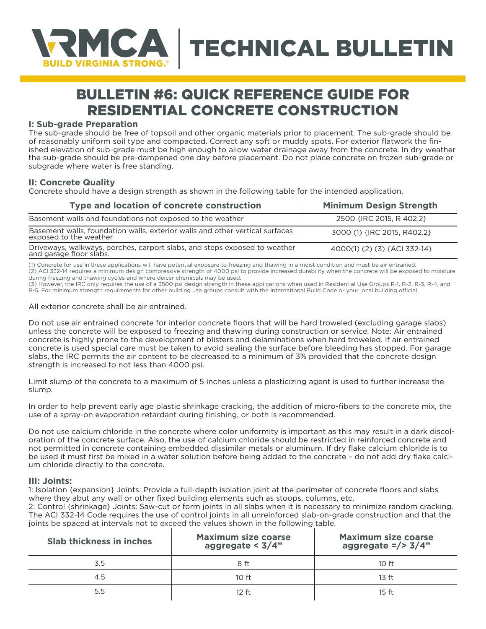

# BULLETIN #6: QUICK REFERENCE GUIDE FOR RESIDENTIAL CONCRETE CONSTRUCTION

## **I: Sub-grade Preparation**

The sub-grade should be free of topsoil and other organic materials prior to placement. The sub-grade should be of reasonably uniform soil type and compacted. Correct any soft or muddy spots. For exterior flatwork the finished elevation of sub-grade must be high enough to allow water drainage away from the concrete. In dry weather the sub-grade should be pre-dampened one day before placement. Do not place concrete on frozen sub-grade or subgrade where water is free standing.

### **II: Concrete Quality**

Concrete should have a design strength as shown in the following table for the intended application.

| Type and location of concrete construction                                                          | <b>Minimum Design Strength</b> |
|-----------------------------------------------------------------------------------------------------|--------------------------------|
| Basement walls and foundations not exposed to the weather                                           | 2500 {IRC 2015, R 402.2}       |
| Basement walls, foundation walls, exterior walls and other vertical surfaces exposed to the weather | 3000 (1) IRC 2015, R402.2}     |
| Driveways, walkways, porches, carport slabs, and steps exposed to weather and garage floor slabs.   | 4000(1) (2) (3) {ACI 332-14}   |

(1) Concrete for use in these applications will have potential exposure to freezing and thawing in a moist condition and must be air entrained. (2) ACI 332-14 requires a minimum design compressive strength of 4000 psi to provide increased durability when the concrete will be exposed to moisture during freezing and thawing cycles and where deicer chemicals may be used.

(3) However, the IRC only requires the use of a 3500 psi design strength in these applications when used in Residential Use Groups R-1, R-2, R-3, R-4, and R-5. For minimum strength requirements for other building use groups consult with the International Build Code or your local building official.

All exterior concrete shall be air entrained.

Do not use air entrained concrete for interior concrete floors that will be hard troweled (excluding garage slabs) unless the concrete will be exposed to freezing and thawing during construction or service. Note: Air entrained concrete is highly prone to the development of blisters and delaminations when hard troweled. If air entrained concrete is used special care must be taken to avoid sealing the surface before bleeding has stopped. For garage slabs, the IRC permits the air content to be decreased to a minimum of 3% provided that the concrete design strength is increased to not less than 4000 psi.

Limit slump of the concrete to a maximum of 5 inches unless a plasticizing agent is used to further increase the slump.

In order to help prevent early age plastic shrinkage cracking, the addition of micro-fibers to the concrete mix, the use of a spray-on evaporation retardant during finishing, or both is recommended.

Do not use calcium chloride in the concrete where color uniformity is important as this may result in a dark discoloration of the concrete surface. Also, the use of calcium chloride should be restricted in reinforced concrete and not permitted in concrete containing embedded dissimilar metals or aluminum. If dry flake calcium chloride is to be used it must first be mixed in a water solution before being added to the concrete – do not add dry flake calcium chloride directly to the concrete.

#### **III: Joints:**

1: Isolation {expansion} Joints: Provide a full-depth isolation joint at the perimeter of concrete floors and slabs where they abut any wall or other fixed building elements such as stoops, columns, etc.

2: Control {shrinkage} Joints: Saw-cut or form joints in all slabs when it is necessary to minimize random cracking. The ACI 332-14 Code requires the use of control joints in all unreinforced slab-on-grade construction and that the joints be spaced at intervals not to exceed the values shown in the following table.

| <b>Slab thickness in inches</b> | <b>Maximum size coarse</b><br>aggregate < $3/4"$ | <b>Maximum size coarse</b><br>aggregate $\frac{2}{3}$ 3/4" |
|---------------------------------|--------------------------------------------------|------------------------------------------------------------|
| 3.5                             | 8 ft                                             | 10 <sub>f</sub>                                            |
| 4.5                             | 10 <sub>f</sub>                                  | 13 f <sub>f</sub>                                          |
| 5.5                             | 12 ft                                            | $15 \text{ ft}$                                            |